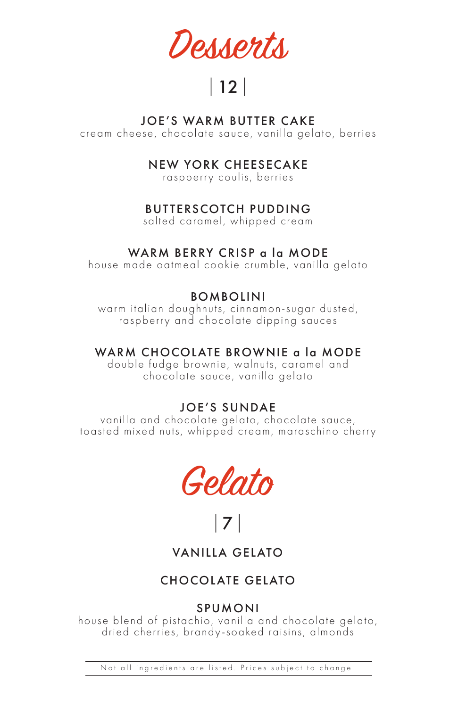Desserts

# |12|

#### JOE'S WARM BUTTER CAKE

cream cheese, chocolate sauce, vanilla gelato, berries

#### NEW YORK CHEESECAKE

raspberry coulis, berries

# BUTTERSCOTCH PUDDING

salted caramel, whipped cream

# WARM BERRY CRISP a la MODE

house made oatmeal cookie crumble, vanilla gelato

# **BOMBOLINI**

warm italian doughnuts, cinnamon-sugar dusted, raspberry and chocolate dipping sauces

# WARM CHOCOLATE BROWNIE a la MODE

double fudge brownie, walnuts, caramel and chocolate sauce, vanilla gelato

# JOE'S SUNDAE

vanilla and chocolate gelato, chocolate sauce, toasted mixed nuts, whipped cream, maraschino cherry



|7|

VANILLA GELATO

# CHOCOLATE GELATO

# SPUMONI

house blend of pistachio, vanilla and chocolate gelato, dried cherries, brandy-soaked raisins, almonds